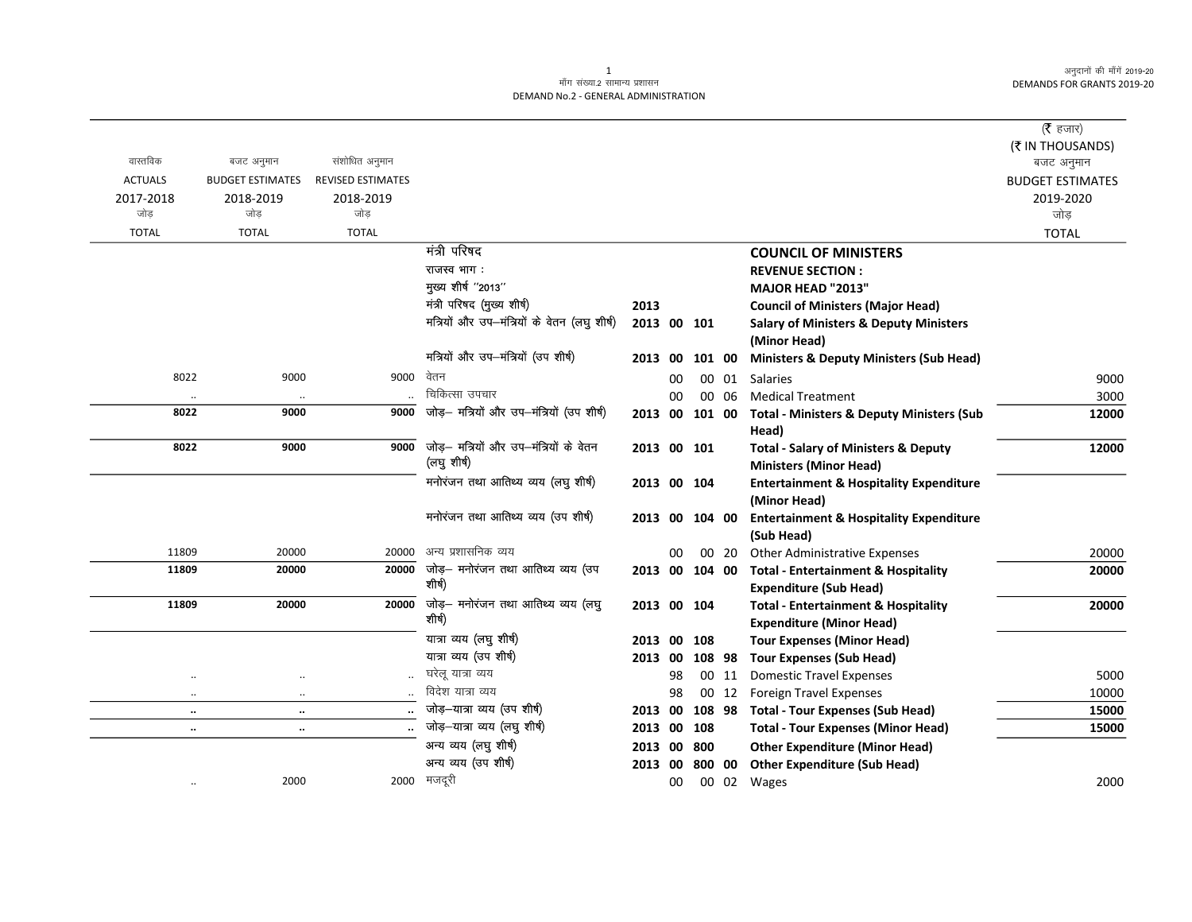अनुदानों की माँगें 2019-20 DEMANDS FOR GRANTS 2019-20

## ्<br>माँग संख्या.2 सामान्य प्रशासन DEMAND No.2 - GENERAL ADMINISTRATION

|                      |                         |                          |                                              |                |    |        |       |                                                      | (रै हजार)               |
|----------------------|-------------------------|--------------------------|----------------------------------------------|----------------|----|--------|-------|------------------------------------------------------|-------------------------|
|                      |                         |                          |                                              |                |    |        |       |                                                      | (₹ IN THOUSANDS)        |
| वास्तविक             | बजट अनुमान              | संशोधित अनुमान           |                                              |                |    |        |       |                                                      | बजट अनुमान              |
| <b>ACTUALS</b>       | <b>BUDGET ESTIMATES</b> | <b>REVISED ESTIMATES</b> |                                              |                |    |        |       |                                                      | <b>BUDGET ESTIMATES</b> |
| 2017-2018            | 2018-2019               | 2018-2019                |                                              |                |    |        |       |                                                      | 2019-2020               |
| जोड                  | जोड                     | जोड                      |                                              |                |    |        |       |                                                      | जोड़                    |
| <b>TOTAL</b>         | <b>TOTAL</b>            | <b>TOTAL</b>             |                                              |                |    |        |       |                                                      | <b>TOTAL</b>            |
|                      |                         |                          | मंत्री परिषद                                 |                |    |        |       | <b>COUNCIL OF MINISTERS</b>                          |                         |
|                      |                         |                          | राजस्व भाग :                                 |                |    |        |       | <b>REVENUE SECTION:</b>                              |                         |
|                      |                         |                          | मुख्य शीर्ष "2013"                           |                |    |        |       | <b>MAJOR HEAD "2013"</b>                             |                         |
|                      |                         |                          | मंत्री परिषद (मुख्य शीर्ष)                   | 2013           |    |        |       | <b>Council of Ministers (Major Head)</b>             |                         |
|                      |                         |                          | मत्रियों और उप-मंत्रियों के वेतन (लघु शीर्ष) | 2013 00 101    |    |        |       | <b>Salary of Ministers &amp; Deputy Ministers</b>    |                         |
|                      |                         |                          |                                              |                |    |        |       | (Minor Head)                                         |                         |
|                      |                         |                          | मत्रियों और उप-मंत्रियों (उप शीर्ष)          | 2013           | 00 | 101 00 |       | <b>Ministers &amp; Deputy Ministers (Sub Head)</b>   |                         |
| 8022                 | 9000                    | 9000                     | वेतन                                         |                | 00 |        | 00 01 | <b>Salaries</b>                                      | 9000                    |
| $\cdot\cdot$         | $\cdot\cdot$            |                          | चिकित्सा उपचार                               |                | 00 |        | 00 06 | <b>Medical Treatment</b>                             | 3000                    |
| 8022                 | 9000                    | 9000                     | जोड़- मत्रियों और उप-मंत्रियों (उप शीर्ष)    | 2013 00        |    | 101 00 |       | <b>Total - Ministers &amp; Deputy Ministers (Sub</b> | 12000                   |
|                      |                         |                          |                                              |                |    |        |       | Head)                                                |                         |
| 8022                 | 9000                    | 9000                     | जोड़— मत्रियों और उप—मंत्रियों के वेतन       | 2013 00 101    |    |        |       | <b>Total - Salary of Ministers &amp; Deputy</b>      | 12000                   |
|                      |                         |                          | (लघु शीर्ष)                                  |                |    |        |       | <b>Ministers (Minor Head)</b>                        |                         |
|                      |                         |                          | मनोरंजन तथा आतिथ्य व्यय (लघु शीर्ष)          | 2013 00 104    |    |        |       | <b>Entertainment &amp; Hospitality Expenditure</b>   |                         |
|                      |                         |                          |                                              |                |    |        |       | (Minor Head)                                         |                         |
|                      |                         |                          | मनोरंजन तथा आतिथ्य व्यय (उप शीर्ष)           | 2013 00 104 00 |    |        |       | <b>Entertainment &amp; Hospitality Expenditure</b>   |                         |
|                      |                         |                          |                                              |                |    |        |       | (Sub Head)                                           |                         |
| 11809                | 20000                   | 20000                    | अन्य प्रशासनिक व्यय                          |                | 00 |        | 00 20 | <b>Other Administrative Expenses</b>                 | 20000                   |
| 11809                | 20000                   | 20000                    | जोड़— मनोरंजन तथा आतिथ्य व्यय (उप            | 2013 00 104 00 |    |        |       | <b>Total - Entertainment &amp; Hospitality</b>       | 20000                   |
|                      |                         |                          | शीर्ष)                                       |                |    |        |       | <b>Expenditure (Sub Head)</b>                        |                         |
| 11809                | 20000                   | 20000                    | जोड़— मनोरंजन तथा आतिथ्य व्यय (लघु           | 2013 00 104    |    |        |       | <b>Total - Entertainment &amp; Hospitality</b>       | 20000                   |
|                      |                         |                          | शीर्ष)                                       |                |    |        |       | <b>Expenditure (Minor Head)</b>                      |                         |
|                      |                         |                          | यात्रा व्यय (लघु शीर्ष)                      | 2013           | 00 | 108    |       | <b>Tour Expenses (Minor Head)</b>                    |                         |
|                      |                         |                          | यात्रा व्यय (उप शीर्ष)                       | 2013 00        |    | 108 98 |       | <b>Tour Expenses (Sub Head)</b>                      |                         |
| $\cdot$ .            |                         | $\ddotsc$                | घरेलू यात्रा व्यय                            |                | 98 |        | 00 11 | <b>Domestic Travel Expenses</b>                      | 5000                    |
| $\ddotsc$            | $\ddotsc$               |                          | विदेश यात्रा व्यय                            |                | 98 |        | 00 12 | <b>Foreign Travel Expenses</b>                       | 10000                   |
| $\ddot{\phantom{0}}$ | $\ldots$                |                          | जोड़-यात्रा व्यय (उप शीर्ष)                  | 2013 00        |    | 108 98 |       | <b>Total - Tour Expenses (Sub Head)</b>              | 15000                   |
| $\ddot{\phantom{0}}$ | $\ldots$                |                          | जोड़-यात्रा व्यय (लघु शीर्ष)                 | 2013 00        |    | 108    |       | <b>Total - Tour Expenses (Minor Head)</b>            | 15000                   |
|                      |                         |                          | अन्य व्यय (लघु शीर्ष)                        | 2013 00        |    | 800    |       | <b>Other Expenditure (Minor Head)</b>                |                         |
|                      |                         |                          | अन्य व्यय (उप शीर्ष)                         | 2013 00        |    | 800 00 |       | <b>Other Expenditure (Sub Head)</b>                  |                         |
|                      | 2000                    | 2000                     | मजदूरी                                       |                | 00 |        |       | 00 02 Wages                                          | 2000                    |
|                      |                         |                          |                                              |                |    |        |       |                                                      |                         |

1